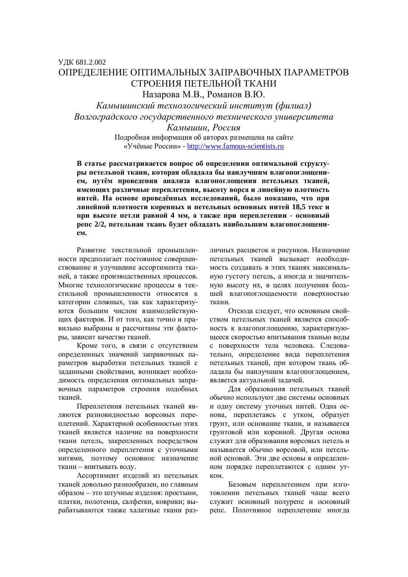## ɍȾɄ 681.2.002 ОПРЕЛЕЛЕНИЕ ОПТИМАЛЬНЫХ ЗАПРАВОЧНЫХ ПАРАМЕТРОВ СТРОЕНИЯ ПЕТЕЛЬНОЙ ТКАНИ Назарова М.В., Романов В.Ю.

Камышинский технологический институт (филиал) Волгоградского государственного технического университета Kамышин, Россия Подробная информация об авторах размещена на сайте «Учёные России» - http://www.famous-scientists.ru

В статье рассматривается вопрос об определении оптимальной структуры петельной ткани, которая обладала бы наилучшим влагопоглощением, путём проведения анализа влагопоглощения петельных тканей, имеющих различные переплетения, высоту ворса и линейную плотность **нитей.** На основе проведённых исследований, было показано, что при линейной плотности коренных и петельных основных нитей 18,5 текс и при высоте петли равной 4 мм, а также при переплетении - основный репс 2/2, петельная ткань будет обладать наибольшим влагопоглощени- $EM.$ 

Развитие текстильной промышленности предполагает постоянное совершенствование и улучшение ассортимента тканей, а также производственных процессов. Многие технологические процессы в текстильной промышленности относятся к категории сложных, так как характеризуются большим числом взаимодействующих факторов. И от того, как точно и правильно выбраны и рассчитаны эти факторы, зависит качество тканей.

Кроме того, в связи с отсутствием определенных значений заправочных параметров выработки петельных тканей с заланными свойствами, возникает необходимость определения оптимальных заправочных параметров строения подобных тканей.

Переплетения петельных тканей являются разновидностью ворсовых переплетений. Характерной особенностью этих тканей является наличие на поверхности ткани петель, закрепленных посредством определенного переплетения с уточными нитями, поэтому основное назначение ткани – впитывать воду.

Ассортимент изделий из петельных тканей ловольно разнообразен, но главным образом – это штучные изделия: простыни, платки, полотенца, салфетки, коврики; вырабатываются также халатные ткани различных расцветок и рисунков. Назначение петельных тканей вызывает необходи-МОСТЬ СОЗЛАВАТЬ В ЭТИХ ТКАНЯХ МАКСИМАЛЬную густоту петель, а иногда и значительную высоту их, в целях получения большей влагопоглощаемости поверхностью ткани.

Отсюда следует, что основным свойством петельных тканей является способность к влагопоглощению, характеризующееся скоростью впитывания тканью воды с поверхности тела человека. Следовательно, определение вида переплетения петельных тканей, при котором ткань обладала бы наилучшим влагопоглощением, является актуальной задачей.

Для образования петельных тканей обычно используют две системы основных и одну систему уточных нитей. Одна основа, переплетаясь с утком, образует грунт, или основание ткани, и называется грунтовой или коренной. Другая основа служит для образования ворсовых петель и называется обычно ворсовой, или петельной основой. Эти две основы в определенном порядке переплетаются с одним утκ<sub>OM</sub>.

Базовым переплетением при изготовлении петельных тканей чаше всего служит основный полурепс и основный репс. Полотняное переплетение иногда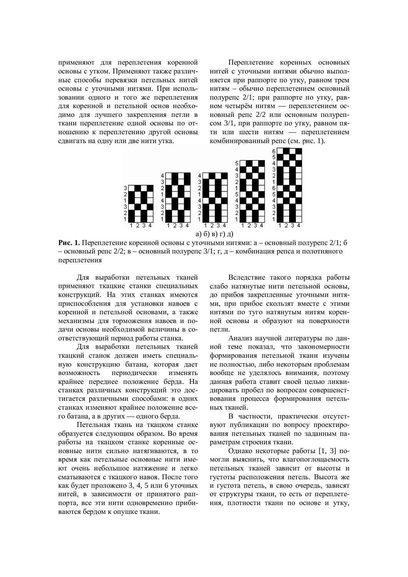применяют для переплетения коренной основы с утком. Применяют также различные способы перевязки петельных нитей основы с уточными нитями. При использовании одного и того же переплетения для коренной и петельной основ необходимо для лучшего закрепления петли в ткани переплетение одной основы по отношению к переплетению другой основы сдвигать на одну или две нити утка.

Переплетение коренных основных нитей с уточными нитями обычно выполняется при раппорте по утку, равном трем нитям – обычно переплетением основный полурепс 2/1; при раппорте по утку, равном четырём нитям — переплетением основный репс 2/2 или основным полурепсом 3/1, при раппорте по утку, равном пяти или шести нитям — переплетением комбинированный репс (см. рис. 1).



**Рис. 1.** Переплетение коренной основы с уточными нитями: а – основный полурепс 2/1; б – основный репс 2/2; в – основный полурепс 3/1; г, д – комбинация репса и полотняного переплетения

Для выработки петельных тканей применяют ткацкие станки специальных конструкций. На этих станках имеются приспособления для установки навоев с коренной и петельной основами, а также механизмы для торможения навоев и подачи основы необходимой величины в соответствующий период работы станка.

Для выработки петельных тканей ткацкий станок должен иметь специальную конструкцию батана, которая дает возможность периодически изменять крайнее переднее положение берда. На станках различных конструкций это достигается различными способами: в одних станках изменяют крайнее положение всего батана, а в других — одного берда.

Петельная ткань на ткацком станке образуется следующим образом. Во время работы на ткашком станке коренные основные нити сильно натягиваются, в то время как петельные основные нити имеют очень небольшое натяжение и легко сматываются с тканкого навоя. После того как будет проложено 3, 4, 5 или 6 уточных нитей, в зависимости от принятого раппорта, все эти нити одновременно прибиваются бердом к опушке ткани.

Вследствие такого порядка работы слабо натянутые нити петельной основы, до прибоя закрепленные уточными нитями, при прибое скользят вместе с этими нитями по туго натянутым нитям коренной основы и образуют на поверхности петли.

Анализ научной литературы по данной теме показал, что закономерности формирования петельной ткани изучены не полностью, либо некоторым проблемам вообще не уделялось внимания, поэтому данная работа ставит своей целью ликвидировать пробел по вопросам совершенствования процесса формирования петельных тканей.

В частности, практически отсутствуют публикации по вопросу проектирования петельных тканей по заданным параметрам строения ткани.

Однако некоторые работы [1, 3] помогли выяснить, что влагопоглощаемость петельных тканей зависит от высоты и густоты расположения петель. Высота же и густота петель, в свою очередь, зависят от структуры ткани, то есть от переплетения, плотности ткани по основе и утку,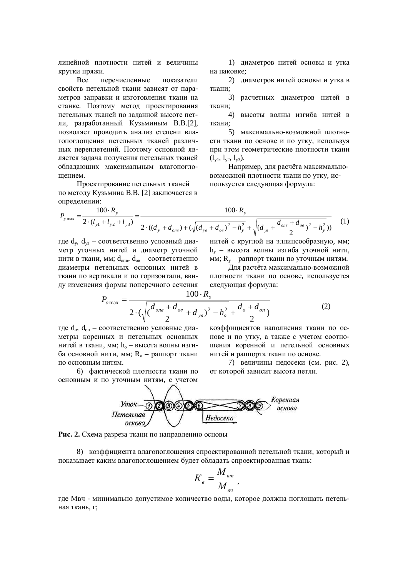линейной плотности нитей и величины крутки пряжи.

Все перечисленные показатели свойств петельной ткани зависят от параметров заправки и изготовления ткани на станке. Поэтому метод проектирования петельных тканей по заданной высоте петли, разработанный Кузьминым В.В.[2], позволяет проводить анализ степени влагопоглошения петельных тканей различных переплетений. Поэтому основной является задача получения петельных тканей обладающих максимальным влагопоглошением.

Проектирование петельных тканей по методу Кузьмина В.В. [2] заключается в определении:

1) диаметров нитей основы и утка на паковке;

2) лиаметров нитей основы и утка в ткани:

3) расчетных диаметров нитей в ткани:

4) высоты волны изгиба нитей в ткани:

5) максимально-возможной плотности ткани по основе и по утку, используя при этом геометрические плотности ткани  $(l_{v1}, l_{v2}, l_{v3}).$ 

Например, для расчёта максимальновозможной плотности ткани по утку, используется следующая формула:

$$
P_{y\max} = \frac{100 \cdot R_y}{2 \cdot (l_{y1} + l_{y2} + l_{y3})} = \frac{100 \cdot R_y}{2 \cdot ((d_y + d_{\text{one}}) + (\sqrt{(d_{y8} + d_{\text{one}})^2 - h_y^2} + \sqrt{(d_{y8} + \frac{d_{\text{one}} + d_{\text{one}}}{2})^2 - h_y^2}))}
$$
(1)

где d<sub>v</sub>, d<sub>vв</sub> – соответственно условный диаметр уточных нитей и диаметр уточной нити в ткани, мм;  $d_{\text{one}}$ ,  $d_{\text{one}}$  – соответственно диаметры петельных основных нитей в ткани по вертикали и по горизонтали, ввиду изменения формы поперечного сечения нитей с круглой на эллипсообразную, мм;  $h_v$  – высота волны изгиба уточной нити, мм;  $R_v$  – раппорт ткани по уточным нитям.

Для расчёта максимально-возможной плотности ткани по основе, используется следующая формула:

$$
P_{o\max} = \frac{100 \cdot R_o}{2 \cdot (\sqrt{\left(\frac{d_{\text{ons}} + d_{\text{os}}}{2} + d_{\text{ys}}\right)^2 - h_o^2} + \frac{d_o + d_{\text{on}}}{2})}
$$
(2)

где  $d_o$ ,  $d_{on}$  – соответственно условные диаметры коренных и петельных основных нитей в ткани, мм;  $h_0$  – высота волны изгиба основной нити, мм;  $R_0$  – раппорт ткани по основным нитям.

6) фактической плотности ткани по основным и по уточным нитям, с учетом коэффициентов наполнения ткани по основе и по утку, а также с учетом соотношения коренной и петельной основных нитей и раппорта ткани по основе.

7) величины недосеки (см. рис. 2), от которой зависит высота петли.



Рис. 2. Схема разреза ткани по направлению основы

8) коэффициента влагопоглощения спроектированной петельной ткани, который и показывает каким влагопоглощением будет обладать спроектированная ткань:

$$
K_{\scriptscriptstyle e} = \frac{M_{\scriptscriptstyle em}}{M_{\scriptscriptstyle eq}},
$$

где Мвч - минимально допустимое количество воды, которое должна поглощать петельная ткань, г;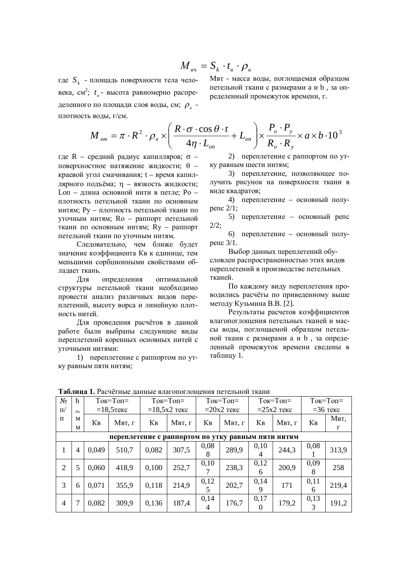$$
M_{_{\mathit{ev}}}=S_{_{k}}\cdot t_{_{\mathit{e}}}\cdot\rho_{_{\mathit{e}}}
$$

где S<sub>k</sub> - площадь поверхности тела человека, см<sup>2</sup>; t<sub>в</sub> - высота равномерно распределенного по площади слоя воды, см;  $\rho_{\scriptscriptstyle g}$  плотность воды, г/см.

Мвт - масса воды, поглощаемая образцом петельной ткани с размерами а и b, за определенный промежуток времени, г.

$$
M_{_{em}} = \pi \cdot R^2 \cdot \rho_{_e} \times \left(\frac{R \cdot \sigma \cdot \cos \theta \cdot t}{4\eta \cdot L_{_{on}}} + L_{_{on}}\right) \times \frac{P_{_o} \cdot P_{_y}}{R_{_o} \cdot R_{_y}} \times a \times b \cdot 10^3
$$

где R – средний радиус капилляров;  $\sigma$  – поверхностное натяжение жидкости;  $\theta$  – краевой угол смачивания; t – время капиллярного подъёма; n - вязкость жидкости;  $I_{\text{.OH}}$  – ллина основной нити в петле: Po – плотность петельной ткани по основным нитям: Pv – плотность петельной ткани по уточным нитям; Ro - раппорт петельной ткани по основным нитям; Ry - раппорт петельной ткани по уточным нитям.

Слеловательно, чем ближе булет значение коэффициента Кв к единице, тем меньшими сорбционными свойствами обладает ткань.

Для определения оптимальной структуры петельной ткани необходимо провести анализ различных видов переплетений, высоту ворса и линейную плотность нитей.

Для проведения расчётов в данной работе были выбраны следующие виды переплетений коренных основных нитей с үточными нитями:

1) переплетение с раппортом по утку равным пяти нитям;

2) переплетение с раппортом по утку равным шести нитям;

3) переплетение, позволяющее получить рисунок на поверхности ткани в виде квадратов;

4) переплетение – основный полуperic  $2/1$ ;

5) переплетение – основный репс  $2/2;$ 

6) переплетение – основный полу $perfc$  3/1.

Выбор ланных переплетений обусловлен распространенностью этих видов переплетений в производстве петельных тканей

По каждому виду переплетения проводились расчёты по приведенному выше методу Кузьмина В.В. [2].

Результаты расчетов коэффициентов влагопоглощения петельных тканей и массы воды, поглощаемой образцом петельной ткани с размерами а и b, за определенный промежуток времени сведены в таблицу 1.

| <b>I AUJINHA 1.</b> I ACTULIBIC ДАННЫС ВЛАГОПОГЛОЩСНИЯ ПСТСЛЬНОЙ ТКАНИ |         |              |        |                                          |        |              |        |                  |        |                                          |       |
|------------------------------------------------------------------------|---------|--------------|--------|------------------------------------------|--------|--------------|--------|------------------|--------|------------------------------------------|-------|
| $N_2$                                                                  | h       | $ToK=Top =$  |        | $T$ <sub>OK</sub> $=T$ <sub>OΠ</sub> $=$ |        | $ToK=TopI$   |        | $ToK = ToH =$    |        | $T$ <sub>OK</sub> $=T$ <sub>OΠ</sub> $=$ |       |
| $\Pi$                                                                  | $\Pi$ , | $=18,5$ текс |        | $=18,5x2$ текс                           |        | $=20x2$ текс |        | $=25x2$ текс     |        | $=36$ текс                               |       |
| $\Pi$                                                                  | M       | Кв           | Мвт, г | Кв                                       | Мвт, г | Kв           | Мвт, г | Кв               | Мвт, г | $K_B$                                    | Мвт,  |
|                                                                        | M       |              |        |                                          |        |              |        |                  |        |                                          | г     |
| переплетение с раппортом по утку равным пяти нитям                     |         |              |        |                                          |        |              |        |                  |        |                                          |       |
| 1                                                                      | 4       | 0,049        | 510,7  | 0,082                                    | 307,5  | 0,08         | 289,9  | 0,10             | 244,3  | 0,08                                     | 313,9 |
|                                                                        |         |              |        |                                          |        | 8            |        | 4                |        |                                          |       |
| 2                                                                      | 5       | 0,060        | 418,9  | 0,100                                    | 252,7  | 0,10         | 238,3  | 0,12<br>6        | 200,9  | 0,09<br>8                                | 258   |
|                                                                        |         |              |        |                                          |        |              |        |                  |        |                                          |       |
| 3                                                                      | 6       | 0,071        | 355,9  | 0,118                                    | 214,9  | 0,12<br>5    | 202,7  | 0,14<br>9        | 171    | 0,11<br>h                                | 219,4 |
| 4                                                                      |         | 0,082        | 309,9  | 0,136                                    | 187,4  | 0,14<br>4    | 176,7  | 0,17<br>$\Omega$ | 179,2  | 0,13<br>3                                | 191,2 |

**Tohuya 1. Doouğruus rouuns reconorrowaya herew uoğ rowa**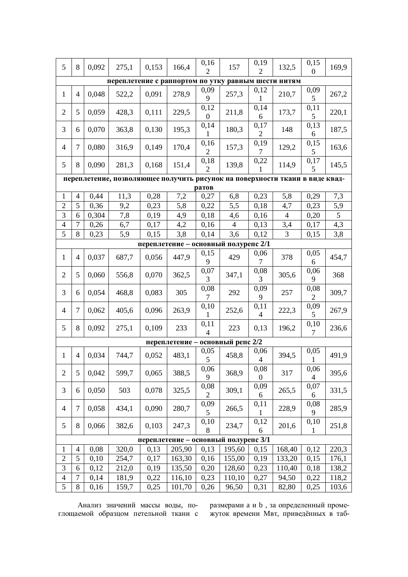| 5                                                                                                                      | 8              | 0,092 | 275,1 | 0,153 | 166,4  | 0,16<br>$\overline{2}$   | 157            | 0,19<br>$\overline{2}$   | 132,5          | 0,15<br>$\overline{0}$ | 169,9 |
|------------------------------------------------------------------------------------------------------------------------|----------------|-------|-------|-------|--------|--------------------------|----------------|--------------------------|----------------|------------------------|-------|
| переплетение с раппортом по утку равным шести нитям                                                                    |                |       |       |       |        |                          |                |                          |                |                        |       |
| $\mathbf{1}$                                                                                                           | $\overline{4}$ | 0,048 | 522,2 | 0,091 | 278,9  | 0,09<br>9                | 257,3          | 0,12<br>1                | 210,7          | 0,09<br>5              | 267,2 |
| $\overline{2}$                                                                                                         | 5              | 0,059 | 428,3 | 0,111 | 229,5  | 0,12<br>$\boldsymbol{0}$ | 211,8          | 0,14<br>6                | 173,7          | 0,11<br>5              | 220,1 |
| 3                                                                                                                      | 6              | 0,070 | 363,8 | 0,130 | 195,3  | 0,14<br>1                | 180,3          | 0,17<br>$\overline{2}$   | 148            | 0,13<br>6              | 187,5 |
| 4                                                                                                                      | 7              | 0,080 | 316,9 | 0,149 | 170,4  | 0,16<br>$\overline{2}$   | 157,3          | 0,19<br>7                | 129,2          | 0,15<br>5              | 163,6 |
| 5                                                                                                                      | 8              | 0,090 | 281,3 | 0,168 | 151,4  | 0,18<br>2                | 139,8          | 0,22<br>1                | 114,9          | 0,17<br>5              | 145,5 |
| переплетение, позволяющее получить рисунок на поверхности ткани в виде квад-                                           |                |       |       |       |        |                          |                |                          |                |                        |       |
| ратов                                                                                                                  |                |       |       |       |        |                          |                |                          |                |                        |       |
| $\mathbf{1}$                                                                                                           | $\overline{4}$ | 0,44  | 11,3  | 0,28  | 7,2    | 0,27                     | 6,8            | 0,23                     | 5,8            | 0,29                   | 7,3   |
| $\overline{2}$                                                                                                         | 5              | 0,36  | 9,2   | 0,23  | 5,8    | 0,22                     | 5,5            | 0,18                     | 4,7            | 0,23                   | 5,9   |
| 3                                                                                                                      | 6              | 0,304 | 7,8   | 0,19  | 4,9    | 0,18                     | 4,6            | 0,16                     | $\overline{4}$ | 0,20                   | 5     |
| $\overline{\mathcal{L}}$                                                                                               | $\tau$         | 0,26  | 6,7   | 0,17  | 4,2    | 0,16                     | $\overline{4}$ | 0,13                     | 3,4            | 0,17                   | 4,3   |
| 5                                                                                                                      | 8              | 0,23  | 5,9   | 0,15  | 3,8    | 0,14                     | 3,6            | 0,12                     | 3              | 0,15                   | 3,8   |
| переплетение - основный полурепс 2/1                                                                                   |                |       |       |       |        |                          |                |                          |                |                        |       |
| $\mathbf{1}$                                                                                                           | $\overline{4}$ | 0,037 | 687,7 | 0,056 | 447,9  | 0,15<br>9                | 429            | 0,06<br>7                | 378            | 0,05<br>6              | 454,7 |
| $\overline{2}$                                                                                                         | 5              | 0,060 | 556,8 | 0,070 | 362,5  | 0,07<br>3                | 347,1          | 0,08<br>3                | 305,6          | 0,06<br>9              | 368   |
| 3                                                                                                                      | 6              | 0,054 | 468,8 | 0,083 | 305    | 0,08<br>7                | 292            | 0,09<br>9                | 257            | 0,08<br>$\overline{2}$ | 309,7 |
| $\overline{4}$                                                                                                         | 7              | 0,062 | 405,6 | 0,096 | 263,9  | 0,10<br>1                | 252,6          | 0,11<br>$\overline{4}$   | 222,3          | 0,09<br>5              | 267,9 |
| 5                                                                                                                      | 8              | 0,092 | 275,1 | 0,109 | 233    | 0,11<br>$\overline{4}$   | 223            | 0,13                     | 196,2          | 0,10<br>$\overline{7}$ | 236,6 |
| основный репс 2/2<br>переплетение -                                                                                    |                |       |       |       |        |                          |                |                          |                |                        |       |
| $\mathbf{1}$                                                                                                           | $\overline{4}$ | 0,034 | 744,7 | 0,052 | 483,1  | 0,05<br>5                | 458,8          | 0,06<br>4                | 394,5          | 0,05<br>$\mathbf{1}$   | 491,9 |
| $\overline{2}$                                                                                                         | 5              | 0,042 | 599,7 | 0,065 | 388,5  | 0,06<br>9                | 368,9          | 0,08<br>$\boldsymbol{0}$ | 317            | 0,06<br>4              | 395,6 |
| 3                                                                                                                      | 6              | 0,050 | 503   | 0,078 | 325,5  | 0,08<br>$\overline{2}$   | 309,1          | 0,09<br>6                | 265,5          | 0,07<br>6              | 331,5 |
| 4                                                                                                                      | $\tau$         | 0,058 | 434,1 | 0,090 | 280,7  | 0,09<br>5                | 266,5          | 0,11<br>1                | 228,9          | 0,08<br>9              | 285,9 |
| 5                                                                                                                      | 8              | 0,066 | 382,6 | 0,103 | 247,3  | 0,10<br>8                | 234,7          | 0,12<br>6                | 201,6          | 0,10<br>1              | 251,8 |
| переплетение - основный полурепс 3/1                                                                                   |                |       |       |       |        |                          |                |                          |                |                        |       |
| 320,0<br>0,13<br>168,40<br>0,12<br>220,3<br>$\mathbf{1}$<br>$\overline{4}$<br>0,08<br>0,13<br>205,90<br>195,60<br>0,15 |                |       |       |       |        |                          |                |                          |                |                        |       |
| $\overline{2}$                                                                                                         | 5              | 0,10  | 254,7 | 0,17  | 163,30 | 0,16                     | 155,00         | 0,19                     | 133,20         | 0,15                   | 176,1 |
| 3                                                                                                                      | 6              | 0,12  | 212,0 | 0,19  | 135,50 | 0,20                     | 128,60         | 0,23                     | 110,40         | 0,18                   | 138,2 |
| $\overline{4}$                                                                                                         | 7              | 0,14  | 181,9 | 0,22  | 116,10 | 0,23                     | 110,10         | 0,27                     | 94,50          | 0,22                   | 118,2 |
| $\overline{5}$                                                                                                         | 8              | 0,16  | 159,7 | 0,25  | 101,70 | 0,26                     | 96,50          | 0,31                     | 82,80          | 0,25                   | 103,6 |

Анализ значений массы воды, поглощаемой образцом петельной ткани с размерами а и b, за определенный промежуток времени Мвт, приведённых в таб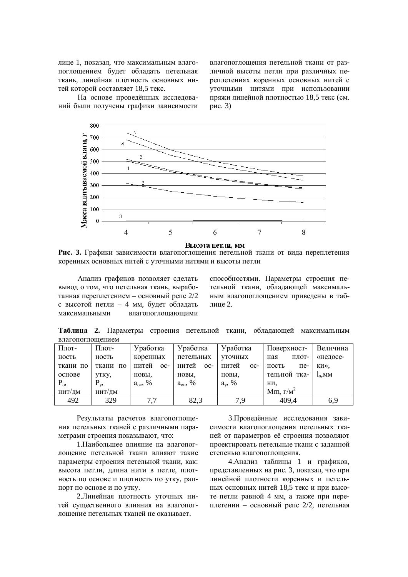лице 1, показал, что максимальным влагопоглощением будет обладать петельная ткань, линейная плотность основных нитей которой составляет 18,5 текс.

На основе проведённых исследований были получены графики зависимости влагопоглощения петельной ткани от различной высоты петли при различных переплетениях коренных основных нитей с -<br>УТОЧНЫМИ НИТЯМИ ПРИ ИСПОЛЬЗОВАНИИ пряжи линейной плотностью 18,5 текс (см. рис.  $3)$ 



Высота петли, мм

Рис. 3. Графики зависимости влагопоглощения петельной ткани от вида переплетения коренных основных нитей с уточными нитями и высоты петли

Анализ графиков позволяет сделать вывод о том, что петельная ткань, выработанная переплетением – основный репс 2/2 с высотой петли – 4 мм. булет облалать максимальными влагопоглошающими способностями. Параметры строения петельной ткани, обладающей максимальным влагопоглощением приведены в таблине 2.

Таблица 2. Параметры строения петельной ткани, обладающей максимальным влагопоглошением

| Плот-    | Плот-       | Уработка         | Уработка       | Уработка       | Поверхност-       | Величина |
|----------|-------------|------------------|----------------|----------------|-------------------|----------|
| ность    | ность       | коренных         | петельных      | <b>VTOЧНЫХ</b> | плот-<br>ная      | «недосе- |
| ткани по | ткани<br>по | нитей<br>$OC-$   | нитей<br>$OC-$ | нитей<br>$OC-$ | ность<br>$\pi$ e- | ки».     |
| основе   | утку,       | новы.            | новы.          | новы.          | тельной тка-      | $l_n$ MM |
| $P_{o}$  | $P_{v}$     | $a_{\rm ox}$ , % | $a_{on}$ , %   | $a_{v}$ , %    | ни,               |          |
| нит/дм   | НИТ/ДМ      |                  |                |                | Mm, $\Gamma/M^2$  |          |
| 492      | 329         | 7.7              | 82,3           | 7,9            | 409,4             | 6,9      |

Результаты расчетов влагопоглощения петельных тканей с различными параметрами строения показывают, что:

1. Наибольшее влияние на влагопоглощение петельной ткани влияют такие параметры строения петельной ткани, как: высота петли, длина нити в петле, плотность по основе и плотность по утку, раппорт по основе и по утку.

2. Линейная плотность уточных нитей существенного влияния на влагопоглощение петельных тканей не оказывает.

3. Проведённые исследования зависимости влагопоглошения петельных тканей от параметров её строения позволяют проектировать петельные ткани с заданной степенью влагопоглощения.

4. Анализ таблицы 1 и графиков, представленных на рис. 3, показал, что при линейной плотности коренных и петельных основных нитей 18,5 текс и при высоте петли равной 4 мм, а также при переплетении – основный репс 2/2, петельная